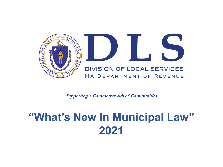

**Supporting a Commonwealth of Communities** 

# **"What's New In Municipal Law" 2021**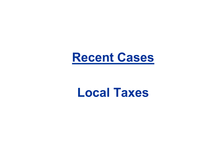

# **Local Taxes**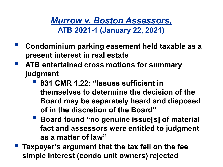*Murrow v. Boston Assessors,* **ATB 2021-1 (January 22, 2021)**

- **Condominium parking easement held taxable as a present interest in real estate**
- **ATB entertained cross motions for summary judgment**
	- **831 CMR 1.22: "Issues sufficient in themselves to determine the decision of the Board may be separately heard and disposed of in the discretion of the Board"**
	- **Board found "no genuine issue[s] of material fact and assessors were entitled to judgment as a matter of law"**
- **Taxpayer's argument that the tax fell on the fee simple interest (condo unit owners) rejected**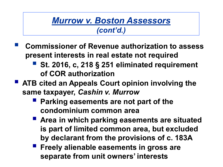#### *Murrow v. Boston Assessors (cont'd.)*

- **Commissioner of Revenue authorization to assess present interests in real estate not required**
	- **St. 2016, c, 218 § 251 eliminated requirement of COR authorization**
- **ATB cited an Appeals Court opinion involving the same taxpayer,** *Cashin v. Murrow*
	- **Parking easements are not part of the condominium common area**
	- **Area in which parking easements are situated is part of limited common area, but excluded by declarant from the provisions of c. 183A**
	- **Freely alienable easements in gross are separate from unit owners' interests**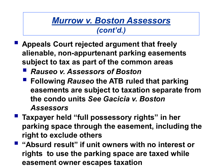#### *Murrow v. Boston Assessors (cont'd.)*

- **Appeals Court rejected argument that freely alienable, non-appurtenant parking easements subject to tax as part of the common areas**
	- *Rauseo v. Assessors of Boston*
	- **Following** *Rauseo* **the ATB ruled that parking easements are subject to taxation separate from the condo units** *See Gacicia v. Boston Assessors*
- **Taxpayer held "full possessory rights" in her parking space through the easement, including the right to exclude others**
- **"Absurd result" if unit owners with no interest or rights to use the parking space are taxed while easement owner escapes taxation**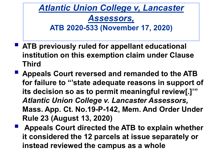*Atlantic Union College v, Lancaster Assessors,*  **ATB 2020-533 (November 17, 2020)**

- **ATB previously ruled for appellant educational institution on this exemption claim under Clause Third**
- **Appeals Court reversed and remanded to the ATB for failure to "'state adequate reasons in support of its decision so as to permit meaningful review[.]'"**  *Atlantic Union College v. Lancaster Assessors,* **Mass. App. Ct. No.19-P-142, Mem. And Order Under Rule 23 (August 13, 2020)**
- **Appeals Court directed the ATB to explain whether it considered the 12 parcels at issue separately or instead reviewed the campus as a whole**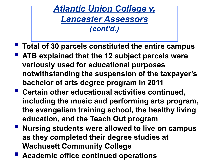- **Total of 30 parcels constituted the entire campus**
- **ATB explained that the 12 subject parcels were variously used for educational purposes notwithstanding the suspension of the taxpayer's bachelor of arts degree program in 2011**
- **Certain other educational activities continued, including the music and performing arts program, the evangelism training school, the healthy living education, and the Teach Out program**
- Nursing students were allowed to live on campus **as they completed their degree studies at Wachusett Community College**
- **Academic office continued operations**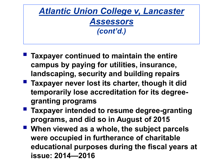- **Taxpayer continued to maintain the entire campus by paying for utilities, insurance, landscaping, security and building repairs**
- **Taxpayer never lost its charter, though it did temporarily lose accreditation for its degreegranting programs**
- **Taxpayer intended to resume degree-granting programs, and did so in August of 2015**
- When viewed as a whole, the subject parcels **were occupied in furtherance of charitable educational purposes during the fiscal years at issue: 2014—2016**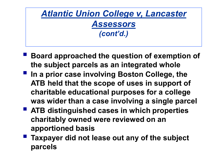- **Board approached the question of exemption of the subject parcels as an integrated whole**
- **In a prior case involving Boston College, the ATB held that the scope of uses in support of charitable educational purposes for a college was wider than a case involving a single parcel**
- **ATB distinguished cases in which properties charitably owned were reviewed on an apportioned basis**
- **Taxpayer did not lease out any of the subject parcels**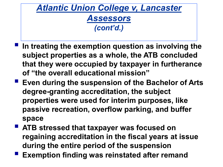- **In treating the exemption question as involving the subject properties as a whole, the ATB concluded that they were occupied by taxpayer in furtherance of "the overall educational mission"**
- **Exen during the suspension of the Bachelor of Arts degree-granting accreditation, the subject properties were used for interim purposes, like passive recreation, overflow parking, and buffer space**
- **ATB stressed that taxpayer was focused on regaining accreditation in the fiscal years at issue during the entire period of the suspension**
- **Exemption finding was reinstated after remand**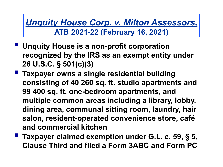*Unquity House Corp. v. Milton Assessors,*  **ATB 2021-22 (February 16, 2021)**

- **Unquity House is a non-profit corporation recognized by the IRS as an exempt entity under 26 U.S.C. § 501(c)(3)**
- **Taxpayer owns a single residential building consisting of 40 260 sq. ft. studio apartments and 99 400 sq. ft. one-bedroom apartments, and multiple common areas including a library, lobby, dining area, communal sitting room, laundry, hair salon, resident-operated convenience store, café and commercial kitchen**
- **Taxpayer claimed exemption under G.L. c. 59, § 5, Clause Third and filed a Form 3ABC and Form PC**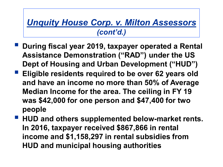- **During fiscal year 2019, taxpayer operated a Rental Assistance Demonstration ("RAD") under the US Dept of Housing and Urban Development ("HUD")**
- **Eligible residents required to be over 62 years old and have an income no more than 50% of Average Median Income for the area. The ceiling in FY 19 was \$42,000 for one person and \$47,400 for two people**
- **HUD and others supplemented below-market rents. In 2016, taxpayer received \$867,866 in rental income and \$1,158,297 in rental subsidies from HUD and municipal housing authorities**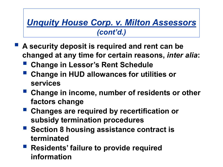- **A security deposit is required and rent can be changed at any time for certain reasons,** *inter alia***:**
	- **Change in Lessor's Rent Schedule**
	- **Change in HUD allowances for utilities or services**
	- **Change in income, number of residents or other factors change**
	- **Changes are required by recertification or subsidy termination procedures**
	- **Section 8 housing assistance contract is terminated**
	- **Residents' failure to provide required information**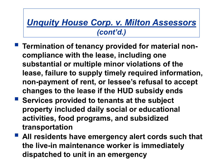- **Termination of tenancy provided for material noncompliance with the lease, including one substantial or multiple minor violations of the lease, failure to supply timely required information, non-payment of rent, or lessee's refusal to accept changes to the lease if the HUD subsidy ends**
- **Services provided to tenants at the subject property included daily social or educational activities, food programs, and subsidized transportation**
- **All residents have emergency alert cords such that the live-in maintenance worker is immediately dispatched to unit in an emergency**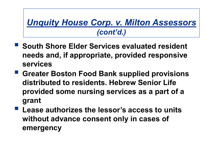- **South Shore Elder Services evaluated resident needs and, if appropriate, provided responsive services**
- **Greater Boston Food Bank supplied provisions distributed to residents. Hebrew Senior Life provided some nursing services as a part of a grant**
- **Lease authorizes the lessor's access to units without advance consent only in cases of emergency**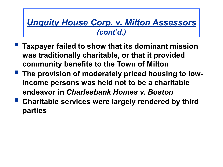- **Taxpayer failed to show that its dominant mission was traditionally charitable, or that it provided community benefits to the Town of Milton**
- **The provision of moderately priced housing to lowincome persons was held not to be a charitable endeavor in** *Charlesbank Homes v. Boston*
- **Charitable services were largely rendered by third parties**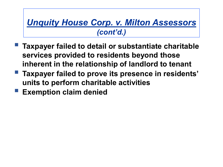- **Taxpayer failed to detail or substantiate charitable services provided to residents beyond those inherent in the relationship of landlord to tenant**
- **Taxpayer failed to prove its presence in residents' units to perform charitable activities**
- **Exemption claim denied**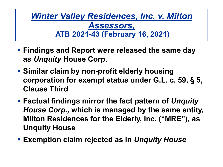*Winter Valley Residences, Inc. v. Milton Assessors,* **ATB 2021-43 (February 16, 2021)**

- **Findings and Report were released the same day as** *Unquity* **House Corp.**
- **Similar claim by non-profit elderly housing corporation for exempt status under G.L. c. 59, § 5, Clause Third**
- **Factual findings mirror the fact pattern of** *Unquity House Corp.,* **which is managed by the same entity, Milton Residences for the Elderly, Inc. ("MRE"), as Unquity House**
- **Exemption claim rejected as in** *Unquity House*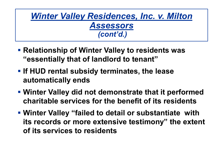#### *Winter Valley Residences, Inc. v. Milton Assessors (cont'd.)*

- **Relationship of Winter Valley to residents was "essentially that of landlord to tenant"**
- **If HUD rental subsidy terminates, the lease automatically ends**
- **Winter Valley did not demonstrate that it performed charitable services for the benefit of its residents**
- **Winter Valley "failed to detail or substantiate with its records or more extensive testimony" the extent of its services to residents**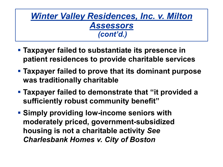#### *Winter Valley Residences, Inc. v. Milton Assessors (cont'd.)*

- **Taxpayer failed to substantiate its presence in patient residences to provide charitable services**
- **Taxpayer failed to prove that its dominant purpose was traditionally charitable**
- **Taxpayer failed to demonstrate that "it provided a sufficiently robust community benefit"**
- **Simply providing low-income seniors with moderately priced, government-subsidized housing is not a charitable activity** *See Charlesbank Homes v. City of Boston*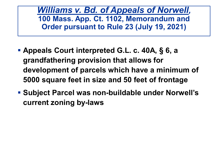*Williams v. Bd. of Appeals of Norwell,* **100 Mass. App. Ct. 1102, Memorandum and Order pursuant to Rule 23 (July 19, 2021)**

- **Appeals Court interpreted G.L. c. 40A, § 6, a grandfathering provision that allows for development of parcels which have a minimum of 5000 square feet in size and 50 feet of frontage**
- **Subject Parcel was non-buildable under Norwell's current zoning by-laws**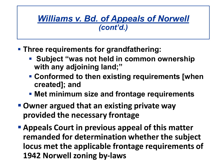- **Three requirements for grandfathering:**
	- **Subject "was not held in common ownership with any adjoining land;"**
	- **Conformed to then existing requirements [when created]; and**
	- **Met minimum size and frontage requirements**
- **Owner argued that an existing private way provided the necessary frontage**
- **Appeals Court in previous appeal of this matter remanded for determination whether the subject locus met the applicable frontage requirements of 1942 Norwell zoning by-laws**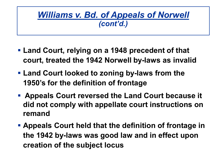- **Land Court, relying on a 1948 precedent of that court, treated the 1942 Norwell by-laws as invalid**
- **Land Court looked to zoning by-laws from the 1950's for the definition of frontage**
- **Appeals Court reversed the Land Court because it did not comply with appellate court instructions on remand**
- **Appeals Court held that the definition of frontage in the 1942 by-laws was good law and in effect upon creation of the subject locus**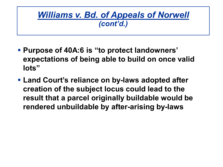- **Purpose of 40A:6 is "to protect landowners' expectations of being able to build on once valid lots"**
- **Land Court's reliance on by-laws adopted after creation of the subject locus could lead to the result that a parcel originally buildable would be rendered unbuildable by after-arising by-laws**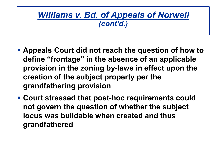- **Appeals Court did not reach the question of how to define "frontage" in the absence of an applicable provision in the zoning by-laws in effect upon the creation of the subject property per the grandfathering provision**
- **Court stressed that post-hoc requirements could not govern the question of whether the subject locus was buildable when created and thus grandfathered**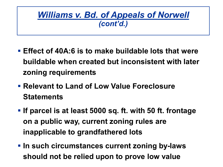- **Effect of 40A:6 is to make buildable lots that were buildable when created but inconsistent with later zoning requirements**
- **Relevant to Land of Low Value Foreclosure Statements**
- **If parcel is at least 5000 sq. ft. with 50 ft. frontage on a public way, current zoning rules are inapplicable to grandfathered lots**
- **In such circumstances current zoning by-laws should not be relied upon to prove low value**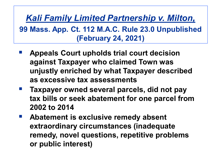*Kali Family Limited Partnership v. Milton,*  **99 Mass. App. Ct. 112 M.A.C. Rule 23.0 Unpublished (February 24, 2021)**

- **Appeals Court upholds trial court decision against Taxpayer who claimed Town was unjustly enriched by what Taxpayer described as excessive tax assessments**
- **Taxpayer owned several parcels, did not pay tax bills or seek abatement for one parcel from 2002 to 2014**
- **Abatement is exclusive remedy absent extraordinary circumstances (inadequate remedy, novel questions, repetitive problems or public interest)**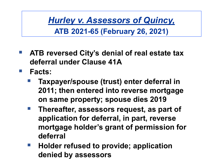*Hurley v. Assessors of Quincy,* 

**ATB 2021-65 (February 26, 2021)**

- **ATB reversed City's denial of real estate tax deferral under Clause 41A**
- **Facts:**
	- **Taxpayer/spouse (trust) enter deferral in 2011; then entered into reverse mortgage on same property; spouse dies 2019**
	- **Thereafter, assessors request, as part of application for deferral, in part, reverse mortgage holder's grant of permission for deferral**
	- **Holder refused to provide; application denied by assessors**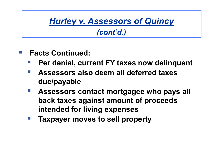## *Hurley v. Assessors of Quincy*

#### *(cont'd.)*

- **Facts Continued:**
	- **Per denial, current FY taxes now delinquent**
	- **Assessors also deem all deferred taxes due/payable**
	- **Assessors contact mortgagee who pays all back taxes against amount of proceeds intended for living expenses**
	- **Taxpayer moves to sell property**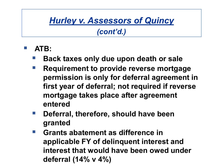### *Hurley v. Assessors of Quincy*

*(cont'd.)*

- **ATB:**
	- **Back taxes only due upon death or sale**
	- **Requirement to provide reverse mortgage permission is only for deferral agreement in first year of deferral; not required if reverse mortgage takes place after agreement entered**
	- **Deferral, therefore, should have been granted**
	- **Grants abatement as difference in applicable FY of delinquent interest and interest that would have been owed under deferral (14% v 4%)**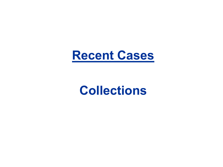

# **Collections**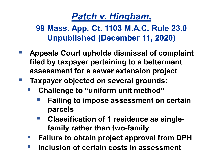## *Patch v. Hingham,*

**99 Mass. App. Ct. 1103 M.A.C. Rule 23.0 Unpublished (December 11, 2020)**

- **Appeals Court upholds dismissal of complaint filed by taxpayer pertaining to a betterment assessment for a sewer extension project**
- **Taxpayer objected on several grounds:**
	- **Challenge to "uniform unit method"**
		- **Failing to impose assessment on certain parcels**
		- **Classification of 1 residence as singlefamily rather than two-family**
	- **Failure to obtain project approval from DPH**
	- **Inclusion of certain costs in assessment**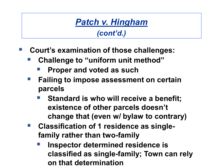#### *Patch v. Hingham (cont'd.)*

- **Court's examination of those challenges:**
	- **Challenge to "uniform unit method"**
		- **Proper and voted as such**
	- **Failing to impose assessment on certain parcels**
		- **Standard is who will receive a benefit; existence of other parcels doesn't change that (even w/ bylaw to contrary)**
	- **Classification of 1 residence as singlefamily rather than two-family** 
		- **Inspector determined residence is classified as single-family; Town can rely on that determination**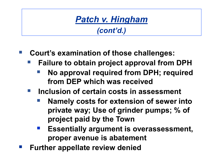# *Patch v. Hingham*

*(cont'd.)*

- **Court's examination of those challenges:**
	- **Failure to obtain project approval from DPH**
		- **No approval required from DPH; required from DEP which was received**
	- **Inclusion of certain costs in assessment** 
		- **Namely costs for extension of sewer into private way; Use of grinder pumps; % of project paid by the Town**
		- **Essentially argument is overassessment, proper avenue is abatement**
- **Further appellate review denied**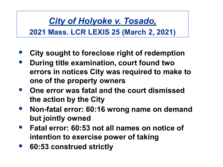*City of Holyoke v. Tosado,* **2021 Mass. LCR LEXIS 25 (March 2, 2021)**

- **City sought to foreclose right of redemption**
- **During title examination, court found two errors in notices City was required to make to one of the property owners**
- **One error was fatal and the court dismissed the action by the City**
- **Non-fatal error: 60:16 wrong name on demand but jointly owned**
- **Fatal error: 60:53 not all names on notice of intention to exercise power of taking**
- **60:53 construed strictly**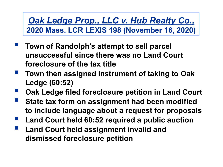*Oak Ledge Prop., LLC v. Hub Realty Co.,* **2020 Mass. LCR LEXIS 198 (November 16, 2020)**

- **Town of Randolph's attempt to sell parcel unsuccessful since there was no Land Court foreclosure of the tax title**
- **Town then assigned instrument of taking to Oak Ledge (60:52)**
- **Oak Ledge filed foreclosure petition in Land Court**
- **State tax form on assignment had been modified to include language about a request for proposals**
- **Land Court held 60:52 required a public auction**
- **Land Court held assignment invalid and dismissed foreclosure petition**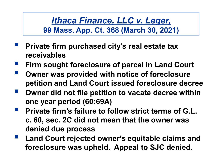*Ithaca Finance, LLC v. Leger,* **99 Mass. App. Ct. 368 (March 30, 2021)**

- **Private firm purchased city's real estate tax receivables**
- **Firm sought foreclosure of parcel in Land Court**
- **Owner was provided with notice of foreclosure petition and Land Court issued foreclosure decree**
- **Owner did not file petition to vacate decree within one year period (60:69A)**
- **Private firm's failure to follow strict terms of G.L. c. 60, sec. 2C did not mean that the owner was denied due process**
- **Land Court rejected owner's equitable claims and foreclosure was upheld. Appeal to SJC denied.**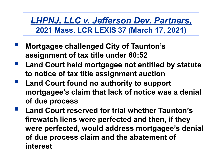*LHPNJ, LLC v. Jefferson Dev. Partners,*  **2021 Mass. LCR LEXIS 37 (March 17, 2021)**

- **Mortgagee challenged City of Taunton's assignment of tax title under 60:52**
- **Land Court held mortgagee not entitled by statute to notice of tax title assignment auction**
- **Land Court found no authority to support mortgagee's claim that lack of notice was a denial of due process**
- **Land Court reserved for trial whether Taunton's firewatch liens were perfected and then, if they were perfected, would address mortgagee's denial of due process claim and the abatement of interest**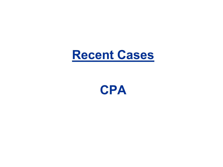

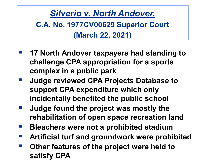*Silverio v. North Andover,* **C.A. No. 1977CV00629 Superior Court (March 22, 2021)** 

- **17 North Andover taxpayers had standing to challenge CPA appropriation for a sports complex in a public park**
- **Judge reviewed CPA Projects Database to support CPA expenditure which only incidentally benefited the public school**
- **Judge found the project was mostly the rehabilitation of open space recreation land**
- **Bleachers were not a prohibited stadium**
- **Artificial turf and groundwork were prohibited**
- **Other features of the project were held to satisfy CPA**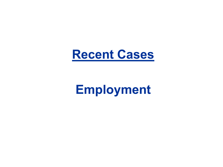

# **Employment**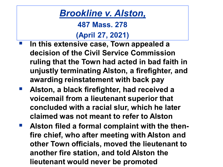**487 Mass. 278**

### **(April 27, 2021)**

- **In this extensive case, Town appealed a decision of the Civil Service Commission ruling that the Town had acted in bad faith in unjustly terminating Alston, a firefighter, and awarding reinstatement with back pay**
- **Alston, a black firefighter, had received a voicemail from a lieutenant superior that concluded with a racial slur, which he later claimed was not meant to refer to Alston**
- **Alston filed a formal complaint with the thenfire chief, who after meeting with Alston and other Town officials, moved the lieutenant to another fire station, and told Alston the lieutenant would never be promoted**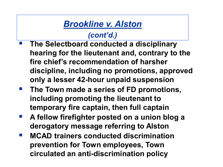- **The Selectboard conducted a disciplinary hearing for the lieutenant and, contrary to the fire chief's recommendation of harsher discipline, including no promotions, approved only a lesser 42-hour unpaid suspension**
- **The Town made a series of FD promotions, including promoting the lieutenant to temporary fire captain, then full captain**
- **A fellow firefighter posted on a union blog a derogatory message referring to Alston**
- **MCAD trainers conducted discrimination prevention for Town employees, Town circulated an anti-discrimination policy**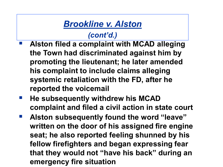- **Alston filed a complaint with MCAD alleging the Town had discriminated against him by promoting the lieutenant; he later amended his complaint to include claims alleging systemic retaliation with the FD, after he reported the voicemail**
- **He subsequently withdrew his MCAD complaint and filed a civil action in state court**
- **Alston subsequently found the word "leave" written on the door of his assigned fire engine seat; he also reported feeling shunned by his fellow firefighters and began expressing fear that they would not "have his back" during an emergency fire situation**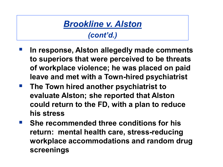- **In response, Alston allegedly made comments to superiors that were perceived to be threats of workplace violence; he was placed on paid leave and met with a Town-hired psychiatrist**
- **The Town hired another psychiatrist to evaluate Alston; she reported that Alston could return to the FD, with a plan to reduce his stress**
- **She recommended three conditions for his return: mental health care, stress-reducing workplace accommodations and random drug screenings**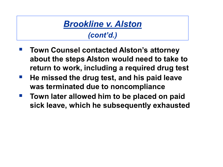- **Town Counsel contacted Alston's attorney about the steps Alston would need to take to return to work, including a required drug test**
- **He missed the drug test, and his paid leave was terminated due to noncompliance**
- **Town later allowed him to be placed on paid sick leave, which he subsequently exhausted**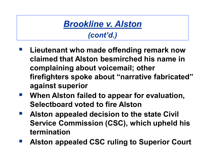- **Lieutenant who made offending remark now claimed that Alston besmirched his name in complaining about voicemail; other firefighters spoke about "narrative fabricated" against superior**
- **When Alston failed to appear for evaluation, Selectboard voted to fire Alston**
- **Alston appealed decision to the state Civil Service Commission (CSC), which upheld his termination**
- **Alston appealed CSC ruling to Superior Court**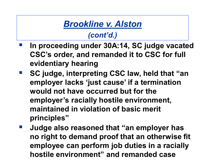- **In proceeding under 30A:14, SC judge vacated CSC's order, and remanded it to CSC for full evidentiary hearing**
- **SC judge, interpreting CSC law, held that "an employer lacks 'just cause' if a termination would not have occurred but for the employer's racially hostile environment, maintained in violation of basic merit principles"**
- **Judge also reasoned that "an employer has no right to demand proof that an otherwise fit employee can perform job duties in a racially hostile environment" and remanded case**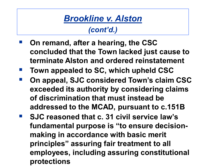- **On remand, after a hearing, the CSC concluded that the Town lacked just cause to terminate Alston and ordered reinstatement**
- **Town appealed to SC, which upheld CSC**
- **On appeal, SJC considered Town's claim CSC exceeded its authority by considering claims of discrimination that must instead be addressed to the MCAD, pursuant to c.151B**
- SJC reasoned that c. 31 civil service law's **fundamental purpose is "to ensure decisionmaking in accordance with basic merit principles" assuring fair treatment to all employees, including assuring constitutional protections**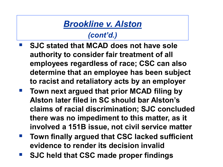- **SJC stated that MCAD does not have sole authority to consider fair treatment of all employees regardless of race; CSC can also determine that an employee has been subject to racist and retaliatory acts by an employer**
- **Town next argued that prior MCAD filing by Alston later filed in SC should bar Alston's claims of racial discrimination; SJC concluded there was no impediment to this matter, as it involved a 151B issue, not civil service matter**
- **Town finally argued that CSC lacked sufficient evidence to render its decision invalid**
- **SJC held that CSC made proper findings**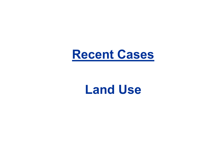

# **Land Use**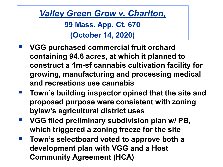*Valley Green Grow v. Charlton,* **99 Mass. App. Ct. 670 (October 14, 2020)**

- **VGG purchased commercial fruit orchard containing 94.6 acres, at which it planned to construct a 1m-sf cannabis cultivation facility for growing, manufacturing and processing medical and recreations use cannabis**
- **Town's building inspector opined that the site and proposed purpose were consistent with zoning bylaw's agricultural district uses**
- VGG filed preliminary subdivision plan w/ PB, **which triggered a zoning freeze for the site**
- **Town's selectboard voted to approve both a development plan with VGG and a Host Community Agreement (HCA)**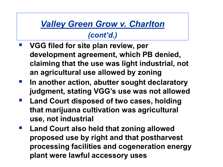### *Valley Green Grow v. Charlton*

- **VGG filed for site plan review, per development agreement, which PB denied, claiming that the use was light industrial, not an agricultural use allowed by zoning**
- **In another action, abutter sought declaratory judgment, stating VGG's use was not allowed**
- **Land Court disposed of two cases, holding that marijuana cultivation was agricultural use, not industrial**
- **Land Court also held that zoning allowed proposed use by right and that postharvest processing facilities and cogeneration energy plant were lawful accessory uses**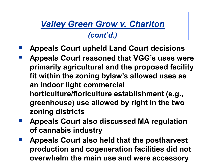# *Valley Green Grow v. Charlton*

- **Appeals Court upheld Land Court decisions**
- **Appeals Court reasoned that VGG's uses were primarily agricultural and the proposed facility fit within the zoning bylaw's allowed uses as an indoor light commercial horticulture/floriculture establishment (e.g., greenhouse) use allowed by right in the two zoning districts**
- **Appeals Court also discussed MA regulation of cannabis industry**
- **Appeals Court also held that the postharvest production and cogeneration facilities did not overwhelm the main use and were accessory**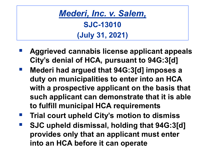*Mederi, Inc. v. Salem,* **SJC-13010 (July 31, 2021)**

- **Aggrieved cannabis license applicant appeals City's denial of HCA, pursuant to 94G:3[d]**
- **Mederi had argued that 94G:3[d] imposes a duty on municipalities to enter into an HCA with a prospective applicant on the basis that such applicant can demonstrate that it is able to fulfill municipal HCA requirements**
- **Trial court upheld City's motion to dismiss**
- **SJC upheld dismissal, holding that 94G:3[d] provides only that an applicant must enter into an HCA before it can operate**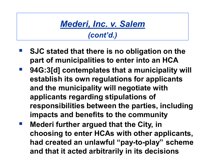# *Mederi, Inc. v. Salem*

- **SJC stated that there is no obligation on the part of municipalities to enter into an HCA**
- **94G:3[d] contemplates that a municipality will establish its own regulations for applicants and the municipality will negotiate with applicants regarding stipulations of responsibilities between the parties, including impacts and benefits to the community**
- **Mederi further argued that the City, in choosing to enter HCAs with other applicants, had created an unlawful "pay-to-play" scheme and that it acted arbitrarily in its decisions**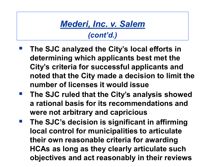### *Mederi, Inc. v. Salem (cont'd.)*

- **The SJC analyzed the City's local efforts in determining which applicants best met the City's criteria for successful applicants and noted that the City made a decision to limit the number of licenses it would issue**
- **The SJC ruled that the City's analysis showed a rational basis for its recommendations and were not arbitrary and capricious**
- **The SJC's decision is significant in affirming local control for municipalities to articulate their own reasonable criteria for awarding HCAs as long as they clearly articulate such objectives and act reasonably in their reviews**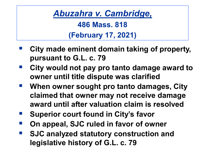*Abuzahra v. Cambridge,* **486 Mass. 818 (February 17, 2021)**

- **City made eminent domain taking of property, pursuant to G.L. c. 79**
- **City would not pay pro tanto damage award to owner until title dispute was clarified**
- **When owner sought pro tanto damages, City claimed that owner may not receive damage award until after valuation claim is resolved**
- **Superior court found in City's favor**
- **On appeal, SJC ruled in favor of owner**
- **SJC analyzed statutory construction and legislative history of G.L. c. 79**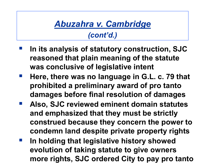### *Abuzahra v. Cambridge (cont'd.)*

- **In its analysis of statutory construction, SJC reasoned that plain meaning of the statute was conclusive of legislative intent**
- **Here, there was no language in G.L. c. 79 that prohibited a preliminary award of pro tanto damages before final resolution of damages**
- **Also, SJC reviewed eminent domain statutes and emphasized that they must be strictly construed because they concern the power to condemn land despite private property rights**
- **In holding that legislative history showed evolution of taking statute to give owners more rights, SJC ordered City to pay pro tanto**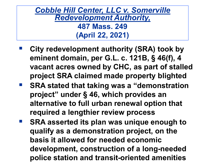*Cobble Hill Center, LLC v. Somerville Redevelopment Authority,* **487 Mass. 249 (April 22, 2021)**

- **City redevelopment authority (SRA) took by eminent domain, per G.L. c. 121B, § 46(f), 4 vacant acres owned by CHC, as part of stalled project SRA claimed made property blighted**
- SRA stated that taking was a "demonstration **project" under § 46, which provides an alternative to full urban renewal option that required a lengthier review process**
- **SRA asserted its plan was unique enough to qualify as a demonstration project, on the basis it allowed for needed economic development, construction of a long-needed police station and transit-oriented amenities**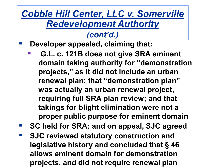# *Cobble Hill Center, LLC v. Somerville Redevelopment Authority*

## *(cont'd.)*

**Developer appealed, claiming that:**

- **G.L. c. 121B does not give SRA eminent domain taking authority for "demonstration projects," as it did not include an urban renewal plan; that "demonstration plan" was actually an urban renewal project, requiring full SRA plan review; and that takings for blight elimination were not a proper public purpose for eminent domain**
- **SC held for SRA; and on appeal, SJC agreed**
- **SJC reviewed statutory construction and legislative history and concluded that § 46 allows eminent domain for demonstration projects, and did not require renewal plan**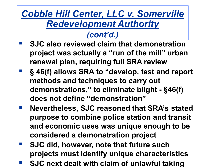# *Cobble Hill Center, LLC v. Somerville Redevelopment Authority*

- **SJC also reviewed claim that demonstration project was actually a "run of the mill" urban renewal plan, requiring full SRA review**
- **§ 46(f) allows SRA to "develop, test and report methods and techniques to carry out demonstrations," to eliminate blight - §46(f) does not define "demonstration"**
- **Nevertheless, SJC reasoned that SRA's stated purpose to combine police station and transit and economic uses was unique enough to be considered a demonstration project**
- **SJC did, however, note that future such projects must identify unique characteristics**
- **SJC next dealt with claim of unlawful taking**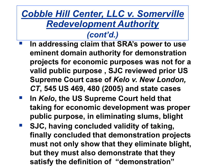# *Cobble Hill Center, LLC v. Somerville Redevelopment Authority*

- **In addressing claim that SRA's power to use eminent domain authority for demonstration projects for economic purposes was not for a valid public purpose , SJC reviewed prior US Supreme Court case of** *Kelo v. New London, CT***, 545 US 469, 480 (2005) and state cases**
- **IDUATE:** In Kelo, the US Supreme Court held that **taking for economic development was proper public purpose, in eliminating slums, blight**
- **SJC, having concluded validity of taking, finally concluded that demonstration projects must not only show that they eliminate blight, but they must also demonstrate that they satisfy the definition of "demonstration"**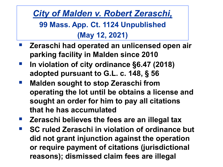*City of Malden v. Robert Zeraschi,* **99 Mass. App. Ct. 1124 Unpublished (May 12, 2021)**

- **Zeraschi had operated an unlicensed open air parking facility in Malden since 2010**
- **In violation of city ordinance §6.47 (2018) adopted pursuant to G.L. c. 148, § 56**
- **Malden sought to stop Zeraschi from operating the lot until be obtains a license and sought an order for him to pay all citations that he has accumulated**
- **Zeraschi believes the fees are an illegal tax**
- **SC ruled Zeraschi in violation of ordinance but did not grant injunction against the operation or require payment of citations (jurisdictional reasons); dismissed claim fees are illegal**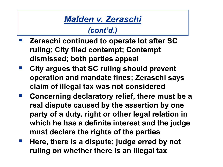# *Malden v. Zeraschi*

- **Zeraschi continued to operate lot after SC ruling; City filed contempt; Contempt dismissed; both parties appeal**
- **City argues that SC ruling should prevent operation and mandate fines; Zeraschi says claim of illegal tax was not considered**
- **Concerning declaratory relief, there must be a real dispute caused by the assertion by one party of a duty, right or other legal relation in which he has a definite interest and the judge must declare the rights of the parties**
- **Here, there is a dispute; judge erred by not ruling on whether there is an illegal tax**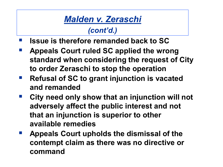# *Malden v. Zeraschi*

- **Issue is therefore remanded back to SC**
- **Appeals Court ruled SC applied the wrong standard when considering the request of City to order Zeraschi to stop the operation**
- **Refusal of SC to grant injunction is vacated and remanded**
- **City need only show that an injunction will not adversely affect the public interest and not that an injunction is superior to other available remedies**
- **Appeals Court upholds the dismissal of the contempt claim as there was no directive or command**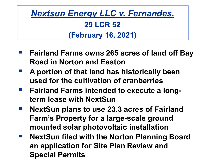# *Nextsun Energy LLC v. Fernandes,*  **29 LCR 52 (February 16, 2021)**

- **Fairland Farms owns 265 acres of land off Bay Road in Norton and Easton**
- **A portion of that land has historically been used for the cultivation of cranberries**
- **Fairland Farms intended to execute a longterm lease with NextSun**
- **NextSun plans to use 23.3 acres of Fairland Farm's Property for a large-scale ground mounted solar photovoltaic installation**
- **NextSun filed with the Norton Planning Board an application for Site Plan Review and Special Permits**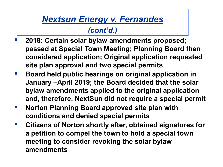- **2018: Certain solar bylaw amendments proposed; passed at Special Town Meeting; Planning Board then considered application; Original application requested site plan approval and two special permits**
- **Board held public hearings on original application in January –April 2019; the Board decided that the solar bylaw amendments applied to the original application and, therefore, NextSun did not require a special permit**
- **Norton Planning Board approved site plan with conditions and denied special permits**
- **Citizens of Norton shortly after, obtained signatures for a petition to compel the town to hold a special town meeting to consider revoking the solar bylaw amendments**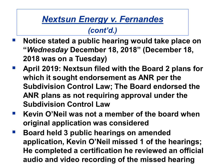- **Notice stated a public hearing would take place on "***Wednesday* **December 18, 2018" (December 18, 2018 was on a Tuesday)**
- **April 2019: Nextsun filed with the Board 2 plans for which it sought endorsement as ANR per the Subdivision Control Law; The Board endorsed the ANR plans as not requiring approval under the Subdivision Control Law**
- **Kevin O'Neil was not a member of the board when original application was considered**
- **Board held 3 public hearings on amended application, Kevin O'Neil missed 1 of the hearings; He completed a certification he reviewed an official audio and video recording of the missed hearing**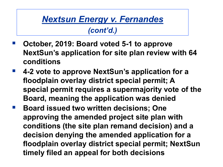- **October, 2019: Board voted 5-1 to approve NextSun's application for site plan review with 64 conditions**
- **4-2 vote to approve NextSun's application for a floodplain overlay district special permit; A special permit requires a supermajority vote of the Board, meaning the application was denied**
- **Board issued two written decisions; One approving the amended project site plan with conditions (the site plan remand decision) and a decision denying the amended application for a floodplain overlay district special permit; NextSun timely filed an appeal for both decisions**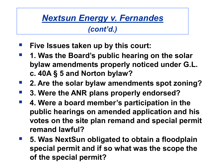- **Five Issues taken up by this court:**
- **1. Was the Board's public hearing on the solar bylaw amendments properly noticed under G.L. c. 40A § 5 and Norton bylaw?**
- **2. Are the solar bylaw amendments spot zoning?**
- **3. Were the ANR plans properly endorsed?**
- **4. Were a board member's participation in the public hearings on amended application and his votes on the site plan remand and special permit remand lawful?**
- **5. Was NextSun obligated to obtain a floodplain special permit and if so what was the scope the of the special permit?**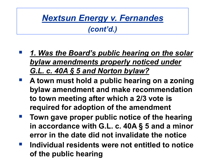- *1. Was the Board's public hearing on the solar bylaw amendments properly noticed under G.L. c. 40A § 5 and Norton bylaw?*
- **A town must hold a public hearing on a zoning bylaw amendment and make recommendation to town meeting after which a 2/3 vote is required for adoption of the amendment**
- **Town gave proper public notice of the hearing in accordance with G.L. c. 40A § 5 and a minor error in the date did not invalidate the notice**
- **Individual residents were not entitled to notice of the public hearing**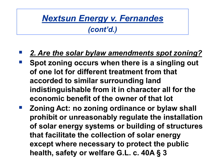#### *(cont'd.)*

### *2. Are the solar bylaw amendments spot zoning?*

- **Spot zoning occurs when there is a singling out of one lot for different treatment from that accorded to similar surrounding land indistinguishable from it in character all for the economic benefit of the owner of that lot**
- **Zoning Act: no zoning ordinance or bylaw shall prohibit or unreasonably regulate the installation of solar energy systems or building of structures that facilitate the collection of solar energy except where necessary to protect the public health, safety or welfare G.L. c. 40A § 3**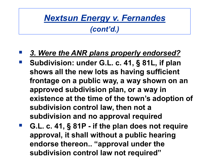- *3. Were the ANR plans properly endorsed?*
- **Subdivision: under G.L. c. 41, § 81L, if plan shows all the new lots as having sufficient frontage on a public way, a way shown on an approved subdivision plan, or a way in existence at the time of the town's adoption of subdivision control law, then not a subdivision and no approval required**
- **G.L. c. 41, § 81P - if the plan does not require approval, it shall without a public hearing endorse thereon.. "approval under the subdivision control law not required"**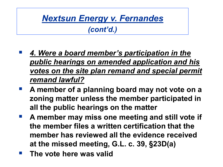- *4. Were a board member's participation in the public hearings on amended application and his votes on the site plan remand and special permit remand lawful?*
- **A member of a planning board may not vote on a zoning matter unless the member participated in all the public hearings on the matter**
- **A member may miss one meeting and still vote if the member files a written certification that the member has reviewed all the evidence received at the missed meeting, G.L. c. 39, §23D(a)**
- **The vote here was valid**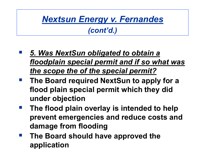- *5. Was NextSun obligated to obtain a floodplain special permit and if so what was the scope the of the special permit?*
- **The Board required NextSun to apply for a flood plain special permit which they did under objection**
- **The flood plain overlay is intended to help prevent emergencies and reduce costs and damage from flooding**
- **The Board should have approved the application**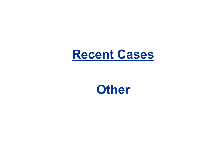

## **Other**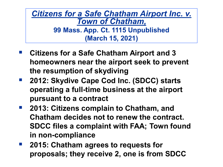*Citizens for a Safe Chatham Airport Inc. v. Town of Chatham,* **99 Mass. App. Ct. 1115 Unpublished (March 15, 2021)**

- **Citizens for a Safe Chatham Airport and 3 homeowners near the airport seek to prevent the resumption of skydiving**
- 2012: Skydive Cape Cod Inc. (SDCC) starts **operating a full-time business at the airport pursuant to a contract**
- **2013: Citizens complain to Chatham, and Chatham decides not to renew the contract. SDCC files a complaint with FAA; Town found in non-compliance**
- **2015: Chatham agrees to requests for proposals; they receive 2, one is from SDCC**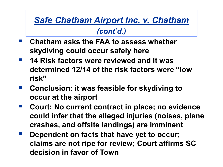## *Safe Chatham Airport Inc. v. Chatham*

- **Chatham asks the FAA to assess whether skydiving could occur safely here**
- **14 Risk factors were reviewed and it was determined 12/14 of the risk factors were "low risk"**
- **E** Conclusion: it was feasible for skydiving to **occur at the airport**
- Court: No current contract in place; no evidence **could infer that the alleged injuries (noises, plane crashes, and offsite landings) are imminent**
- **Dependent on facts that have yet to occur; claims are not ripe for review; Court affirms SC decision in favor of Town**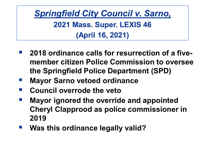*Springfield City Council v. Sarno,*  **2021 Mass. Super. LEXIS 46 (April 16, 2021)**

- **2018 ordinance calls for resurrection of a fivemember citizen Police Commission to oversee the Springfield Police Department (SPD)**
- **Mayor Sarno vetoed ordinance**
- **Council overrode the veto**
- **Mayor ignored the override and appointed Cheryl Clapprood as police commissioner in 2019**
- **Was this ordinance legally valid?**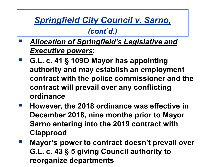## *Springfield City Council v. Sarno,*

- *Allocation of Springfield's Legislative and Executive powers***:**
- **G.L. c. 41 § 109O Mayor has appointing authority and may establish an employment contract with the police commissioner and the contract will prevail over any conflicting ordinance**
- **However, the 2018 ordinance was effective in December 2018, nine months prior to Mayor Sarno entering into the 2019 contract with Clapprood**
- **E** Mayor's power to contract doesn't prevail over **G.L. c. 43 § 5 giving Council authority to reorganize departments**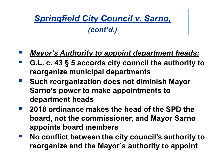# *Springfield City Council v. Sarno,*

- *Mayor's Authority to appoint department heads:*
- **G.L. c. 43 § 5 accords city council the authority to reorganize municipal departments**
- **F** Such reorganization does not diminish Mayor **Sarno's power to make appointments to department heads**
- **2018 ordinance makes the head of the SPD the board, not the commissioner, and Mayor Sarno appoints board members**
- **No conflict between the city council's authority to reorganize and the Mayor's authority to appoint**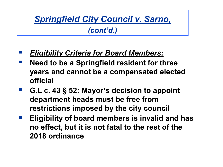## *Springfield City Council v. Sarno,*

- *Eligibility Criteria for Board Members:*
- **Need to be a Springfield resident for three years and cannot be a compensated elected official**
- **G.L c. 43 § 52: Mayor's decision to appoint department heads must be free from restrictions imposed by the city council**
- **Eligibility of board members is invalid and has no effect, but it is not fatal to the rest of the 2018 ordinance**